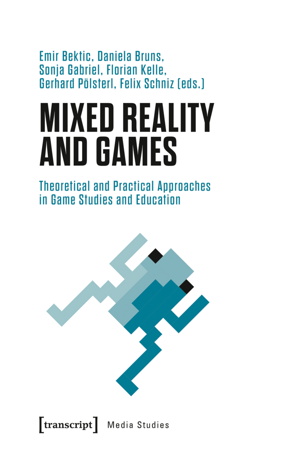Emir Bektic, Daniela Bruns, Sonja Gabriel, Florian Kelle, Gerhard Pölsterl, Felix Schniz [eds.]

# **MIXED REALITY AND GAMES**

**Theoretical and Practical Approaches** in Game Studies and Education



 $[\text{transcript}]$ Media Studies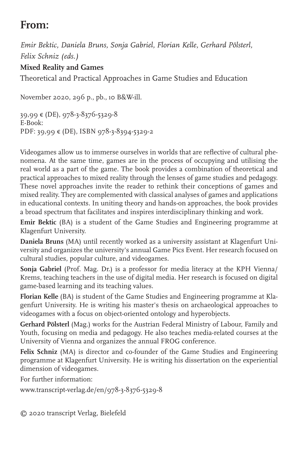# **From:**

*Emir Bektic, Daniela Bruns, Sonja Gabriel, Florian Kelle, Gerhard Pölsterl, Felix Schniz (eds.)*

### **Mixed Reality and Games**

Theoretical and Practical Approaches in Game Studies and Education

November 2020, 296 p., pb., 10 B&W-ill.

```
39,99 € (DE), 978-3-8376-5329-8
E-Book: 
PDF: 39,99 € (DE), ISBN 978-3-8394-5329-2
```
Videogames allow us to immerse ourselves in worlds that are reflective of cultural phenomena. At the same time, games are in the process of occupying and utilising the real world as a part of the game. The book provides a combination of theoretical and practical approaches to mixed reality through the lenses of game studies and pedagogy. These novel approaches invite the reader to rethink their conceptions of games and mixed reality. They are complemented with classical analyses of games and applications in educational contexts. In uniting theory and hands-on approaches, the book provides a broad spectrum that facilitates and inspires interdisciplinary thinking and work.

**Emir Bektic** (BA) is a student of the Game Studies and Engineering programme at Klagenfurt University.

**Daniela Bruns** (MA) until recently worked as a university assistant at Klagenfurt University and organizes the university's annual Game Pics Event. Her research focused on cultural studies, popular culture, and videogames.

**Sonja Gabriel** (Prof. Mag. Dr.) is a professor for media literacy at the KPH Vienna/ Krems, teaching teachers in the use of digital media. Her research is focused on digital game-based learning and its teaching values.

**Florian Kelle** (BA) is student of the Game Studies and Engineering programme at Klagenfurt University. He is writing his master's thesis on archaeological approaches to videogames with a focus on object-oriented ontology and hyperobjects.

**Gerhard Pölsterl** (Mag.) works for the Austrian Federal Ministry of Labour, Family and Youth, focusing on media and pedagogy. He also teaches media-related courses at the University of Vienna and organizes the annual FROG conference.

**Felix Schniz** (MA) is director and co-founder of the Game Studies and Engineering programme at Klagenfurt University. He is writing his dissertation on the experiential dimension of videogames.

For further information:

```
www.transcript-verlag.de/en/978-3-8376-5329-8
```
© 2020 transcript Verlag, Bielefeld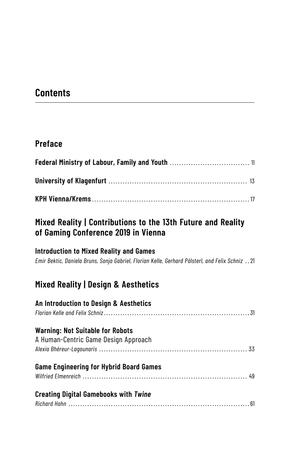# **Contents**

## **Preface**

## **Mixed Reality | Contributions to the 13th Future and Reality of Gaming Conference 2019 in Vienna**

#### **Introduction to Mixed Reality and Games**

*Emir Bektic, Daniela Bruns, Sonja Gabriel, Florian Kelle, Gerhard Pölsterl, and Felix Schniz* .. 21

## **Mixed Reality | Design & Aesthetics**

| An Introduction to Design & Aesthetics         |  |
|------------------------------------------------|--|
| <b>Warning: Not Suitable for Robots</b>        |  |
| A Human-Centric Game Design Approach           |  |
|                                                |  |
| <b>Game Engineering for Hybrid Board Games</b> |  |
|                                                |  |
| <b>Creating Digital Gamebooks with Twine</b>   |  |
|                                                |  |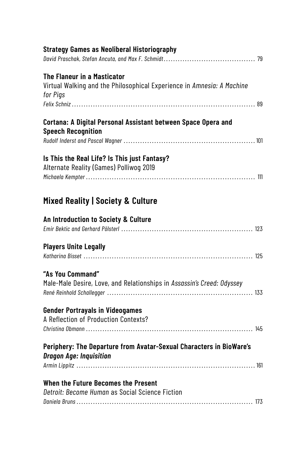| <b>Strategy Games as Neoliberal Historiography</b>                                                                |
|-------------------------------------------------------------------------------------------------------------------|
| The Flaneur in a Masticator<br>Virtual Walking and the Philosophical Experience in Amnesia: A Machine<br>for Pigs |
|                                                                                                                   |
| Cortana: A Digital Personal Assistant between Space Opera and<br><b>Speech Recognition</b>                        |
|                                                                                                                   |
| Is This the Real Life? Is This just Fantasy?<br>Alternate Reality (Games) Polliwog 2019                           |
| <b>Mixed Reality   Society &amp; Culture</b>                                                                      |
| An Introduction to Society & Culture                                                                              |
| <b>Players Unite Legally</b>                                                                                      |
| "As You Command"<br>Male-Male Desire, Love, and Relationships in Assassin's Creed: Odyssey                        |
| <b>Gender Portrayals in Videogames</b><br>A Reflection of Production Contexts?                                    |
| Periphery: The Departure from Avatar-Sexual Characters in BioWare's<br><b>Dragon Age: Inquisition</b>             |
| When the Future Becomes the Present                                                                               |
| Detroit: Become Human as Social Science Fiction                                                                   |
|                                                                                                                   |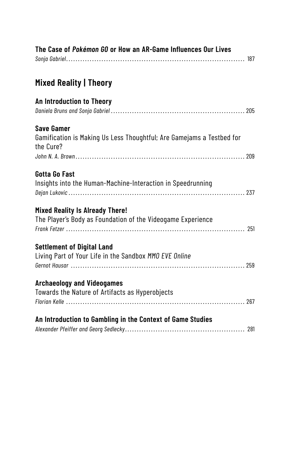| The Case of Pokémon GO or How an AR-Game Influences Our Lives                                           |
|---------------------------------------------------------------------------------------------------------|
| <b>Mixed Reality   Theory</b>                                                                           |
| An Introduction to Theory                                                                               |
| <b>Save Gamer</b><br>Gamification is Making Us Less Thoughtful; Are Gamejams a Testbed for<br>the Cure? |
| <b>Gotta Go Fast</b><br>Insights into the Human-Machine-Interaction in Speedrunning                     |
| <b>Mixed Reality Is Already There!</b><br>The Player's Body as Foundation of the Videogame Experience   |
| <b>Settlement of Digital Land</b><br>Living Part of Your Life in the Sandbox MMO EVE Online             |
| <b>Archaeology and Videogames</b><br>Towards the Nature of Artifacts as Hyperobjects                    |
| An Introduction to Gambling in the Context of Game Studies                                              |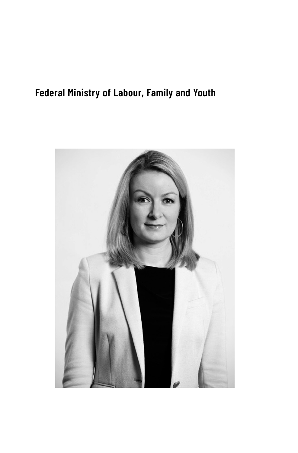# **Federal Ministry of Labour, Family and Youth**

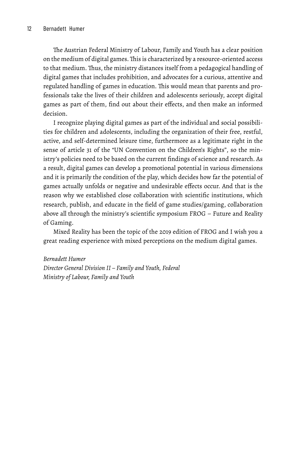The Austrian Federal Ministry of Labour, Family and Youth has a clear position on the medium of digital games.This is characterized by a resource-oriented access to that medium. Thus, the ministry distances itself from a pedagogical handling of digital games that includes prohibition, and advocates for a curious, attentive and regulated handling of games in education. This would mean that parents and professionals take the lives of their children and adolescents seriously, accept digital games as part of them, find out about their effects, and then make an informed decision.

I recognize playing digital games as part of the individual and social possibilities for children and adolescents, including the organization of their free, restful, active, and self-determined leisure time, furthermore as a legitimate right in the sense of article 31 of the "UN Convention on the Children's Rights", so the ministry's policies need to be based on the current findings of science and research. As a result, digital games can develop a promotional potential in various dimensions and it is primarily the condition of the play, which decides how far the potential of games actually unfolds or negative and undesirable effects occur. And that is the reason why we established close collaboration with scientific institutions, which research, publish, and educate in the field of game studies/gaming, collaboration above all through the ministry's scientific symposium FROG – Future and Reality of Gaming.

Mixed Reality has been the topic of the 2019 edition of FROG and I wish you a great reading experience with mixed perceptions on the medium digital games.

#### *Bernadett Humer*

*Director General Division II – Family and Youth, Federal Ministry of Labour, Family and Youth*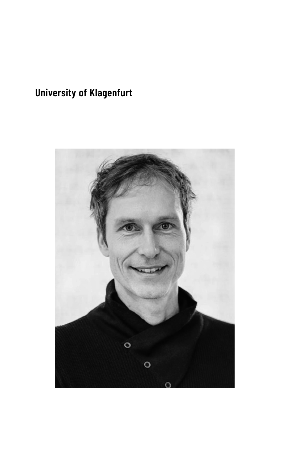# **University of Klagenfurt**

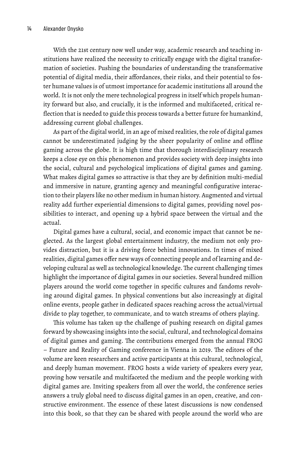With the 21st century now well under way, academic research and teaching institutions have realized the necessity to critically engage with the digital transformation of societies. Pushing the boundaries of understanding the transformative potential of digital media, their affordances, their risks, and their potential to foster humane values is of utmost importance for academic institutions all around the world. It is not only the mere technological progress in itself which propels humanity forward but also, and crucially, it is the informed and multifaceted, critical reflection that is needed to guide this process towards a better future for humankind, addressing current global challenges.

As part of the digital world, in an age of mixed realities, the role of digital games cannot be underestimated judging by the sheer popularity of online and offline gaming across the globe. It is high time that thorough interdisciplinary research keeps a close eye on this phenomenon and provides society with deep insights into the social, cultural and psychological implications of digital games and gaming. What makes digital games so attractive is that they are by definition multi-medial and immersive in nature, granting agency and meaningful configurative interaction to their players like no other medium in human history. Augmented and virtual reality add further experiential dimensions to digital games, providing novel possibilities to interact, and opening up a hybrid space between the virtual and the actual.

Digital games have a cultural, social, and economic impact that cannot be neglected. As the largest global entertainment industry, the medium not only provides distraction, but it is a driving force behind innovations. In times of mixed realities, digital games offer new ways of connecting people and of learning and developing cultural as well as technological knowledge. The current challenging times highlight the importance of digital games in our societies. Several hundred million players around the world come together in specific cultures and fandoms revolving around digital games. In physical conventions but also increasingly at digital online events, people gather in dedicated spaces reaching across the actual/virtual divide to play together, to communicate, and to watch streams of others playing.

This volume has taken up the challenge of pushing research on digital games forward by showcasing insights into the social, cultural, and technological domains of digital games and gaming. The contributions emerged from the annual FROG – Future and Reality of Gaming conference in Vienna in 2019. The editors of the volume are keen researchers and active participants at this cultural, technological, and deeply human movement. FROG hosts a wide variety of speakers every year, proving how versatile and multifaceted the medium and the people working with digital games are. Inviting speakers from all over the world, the conference series answers a truly global need to discuss digital games in an open, creative, and constructive environment. The essence of these latest discussions is now condensed into this book, so that they can be shared with people around the world who are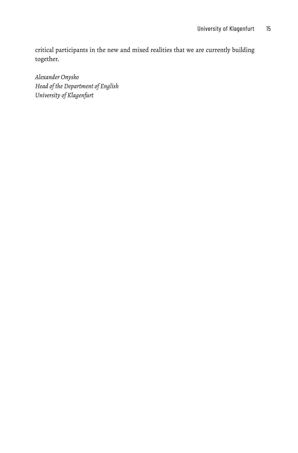critical participants in the new and mixed realities that we are currently building together.

*Alexander Onysko Head of the Department of English University of Klagenfurt*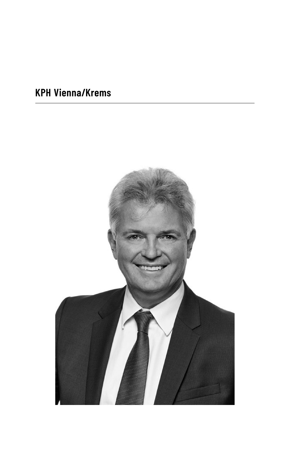# **KPH Vienna/Krems**

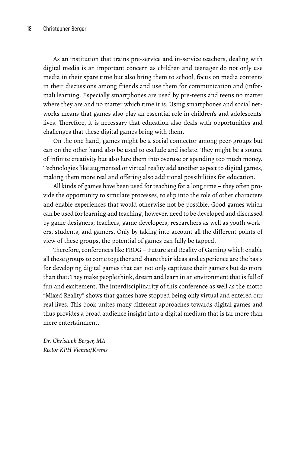As an institution that trains pre-service and in-service teachers, dealing with digital media is an important concern as children and teenager do not only use media in their spare time but also bring them to school, focus on media contents in their discussions among friends and use them for communication and (informal) learning. Especially smartphones are used by pre-teens and teens no matter where they are and no matter which time it is. Using smartphones and social networks means that games also play an essential role in children's and adolescents' lives. Therefore, it is necessary that education also deals with opportunities and challenges that these digital games bring with them.

On the one hand, games might be a social connector among peer-groups but can on the other hand also be used to exclude and isolate. They might be a source of infinite creativity but also lure them into overuse or spending too much money. Technologies like augmented or virtual reality add another aspect to digital games, making them more real and offering also additional possibilities for education.

All kinds of games have been used for teaching for a long time – they often provide the opportunity to simulate processes, to slip into the role of other characters and enable experiences that would otherwise not be possible. Good games which can be used for learning and teaching, however, need to be developed and discussed by game designers, teachers, game developers, researchers as well as youth workers, students, and gamers. Only by taking into account all the different points of view of these groups, the potential of games can fully be tapped.

Therefore, conferences like FROG – Future and Reality of Gaming which enable all these groups to come together and share their ideas and experience are the basis for developing digital games that can not only captivate their gamers but do more than that: They make people think, dream and learn in an environment that is full of fun and excitement. The interdisciplinarity of this conference as well as the motto "Mixed Reality" shows that games have stopped being only virtual and entered our real lives. This book unites many different approaches towards digital games and thus provides a broad audience insight into a digital medium that is far more than mere entertainment.

*Dr. Christoph Berger, MA Rector KPH Vienna/Krems*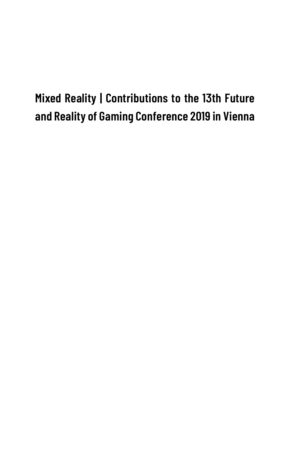# **Mixed Reality | Contributions to the 13th Future and Reality of Gaming Conference 2019 in Vienna**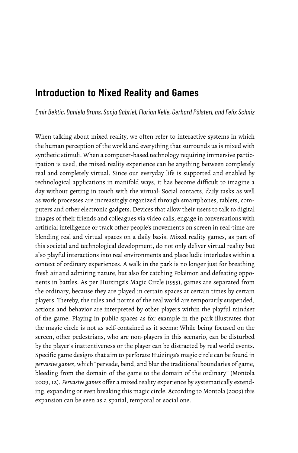## **Introduction to Mixed Reality and Games**

*Emir Bektic, Daniela Bruns, Sonja Gabriel, Florian Kelle, Gerhard Pölsterl, and Felix Schniz*

When talking about mixed reality, we often refer to interactive systems in which the human perception of the world and everything that surrounds us is mixed with synthetic stimuli. When a computer-based technology requiring immersive participation is used, the mixed reality experience can be anything between completely real and completely virtual. Since our everyday life is supported and enabled by technological applications in manifold ways, it has become difficult to imagine a day without getting in touch with the virtual: Social contacts, daily tasks as well as work processes are increasingly organized through smartphones, tablets, computers and other electronic gadgets. Devices that allow their users to talk to digital images of their friends and colleagues via video calls, engage in conversations with artificial intelligence or track other people's movements on screen in real-time are blending real and virtual spaces on a daily basis. Mixed reality games, as part of this societal and technological development, do not only deliver virtual reality but also playful interactions into real environments and place ludic interludes within a context of ordinary experiences. A walk in the park is no longer just for breathing fresh air and admiring nature, but also for catching Pokémon and defeating opponents in battles. As per Huizinga's Magic Circle (1955), games are separated from the ordinary, because they are played in certain spaces at certain times by certain players. Thereby, the rules and norms of the real world are temporarily suspended, actions and behavior are interpreted by other players within the playful mindset of the game. Playing in public spaces as for example in the park illustrates that the magic circle is not as self-contained as it seems: While being focused on the screen, other pedestrians, who are non-players in this scenario, can be disturbed by the player's inattentiveness or the player can be distracted by real world events. Specific game designs that aim to perforate Huizinga's magic circle can be found in *pervasive games*, which "pervade, bend, and blur the traditional boundaries of game, bleeding from the domain of the game to the domain of the ordinary" (Montola 2009, 12). *Pervasive games* offer a mixed reality experience by systematically extending, expanding or even breaking this magic circle. According to Montola (2009) this expansion can be seen as a spatial, temporal or social one.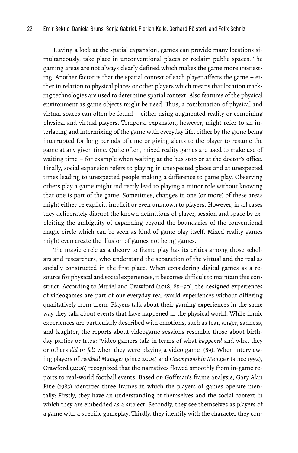Having a look at the spatial expansion, games can provide many locations simultaneously, take place in unconventional places or reclaim public spaces. The gaming areas are not always clearly defined which makes the game more interesting. Another factor is that the spatial context of each player affects the game – either in relation to physical places or other players which means that location tracking technologies are used to determine spatial context. Also features of the physical environment as game objects might be used. Thus, a combination of physical and virtual spaces can often be found – either using augmented reality or combining physical and virtual players. Temporal expansion, however, might refer to an interlacing and intermixing of the game with everyday life, either by the game being interrupted for long periods of time or giving alerts to the player to resume the game at any given time. Quite often, mixed reality games are used to make use of waiting time – for example when waiting at the bus stop or at the doctor's office. Finally, social expansion refers to playing in unexpected places and at unexpected times leading to unexpected people making a difference to game play. Observing others play a game might indirectly lead to playing a minor role without knowing that one is part of the game. Sometimes, changes in one (or more) of these areas might either be explicit, implicit or even unknown to players. However, in all cases they deliberately disrupt the known definitions of player, session and space by exploiting the ambiguity of expanding beyond the boundaries of the conventional magic circle which can be seen as kind of game play itself. Mixed reality games might even create the illusion of games not being games.

The magic circle as a theory to frame play has its critics among those scholars and researchers, who understand the separation of the virtual and the real as socially constructed in the first place. When considering digital games as a resource for physical and social experiences, it becomes difficult to maintain this construct. According to Muriel and Crawford (2018, 89–90), the designed experiences of videogames are part of our everyday real-world experiences without differing qualitatively from them. Players talk about their gaming experiences in the same way they talk about events that have happened in the physical world. While filmic experiences are particularly described with emotions, such as fear, anger, sadness, and laughter, the reports about videogame sessions resemble those about birthday parties or trips: "Video gamers talk in terms of what *happened* and what they or others *did* or *felt* when they were playing a video game" (89). When interviewing players of *Football Manager* (since 2004) and *Championship Manager* (since 1992), Crawford (2006) recognized that the narratives flowed smoothly from in-game reports to real-world football events. Based on Goffman's frame analysis, Gary Alan Fine (1983) identifies three frames in which the players of games operate mentally: Firstly, they have an understanding of themselves and the social context in which they are embedded as a subject. Secondly, they see themselves as players of a game with a specific gameplay. Thirdly, they identify with the character they con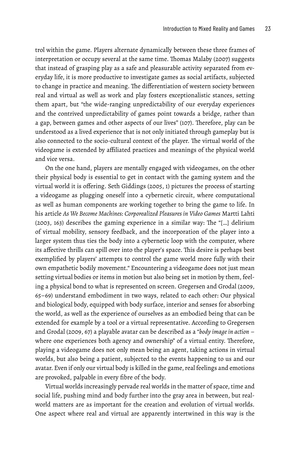trol within the game. Players alternate dynamically between these three frames of interpretation or occupy several at the same time. Thomas Malaby (2007) suggests that instead of grasping play as a safe and pleasurable activity separated from everyday life, it is more productive to investigate games as social artifacts, subjected to change in practice and meaning. The differentiation of western society between real and virtual as well as work and play fosters exceptionalistic stances, setting them apart, but "the wide-ranging unpredictability of our everyday experiences and the contrived unpredictability of games point towards a bridge, rather than a gap, between games and other aspects of our lives" (107). Therefore, play can be understood as a lived experience that is not only initiated through gameplay but is also connected to the socio-cultural context of the player. The virtual world of the videogame is extended by affiliated practices and meanings of the physical world and vice versa.

On the one hand, players are mentally engaged with videogames, on the other their physical body is essential to get in contact with the gaming system and the virtual world it is offering. Seth Giddings (2005, 1) pictures the process of starting a videogame as plugging oneself into a cybernetic circuit, where computational as well as human components are working together to bring the game to life. In his article *As We Become Machines: Corporealized Pleasures in Video Games* Martti Lahti (2003, 163) describes the gaming experience in a similar way: The "[…] delirium of virtual mobility, sensory feedback, and the incorporation of the player into a larger system thus ties the body into a cybernetic loop with the computer, where its affective thrills can spill over into the player's space. This desire is perhaps best exemplified by players' attempts to control the game world more fully with their own empathetic bodily movement." Encountering a videogame does not just mean setting virtual bodies or items in motion but also being set in motion by them, feeling a physical bond to what is represented on screen. Gregersen and Grodal (2009, 65–69) understand embodiment in two ways, related to each other: Our physical and biological body, equipped with body surface, interior and senses for absorbing the world, as well as the experience of ourselves as an embodied being that can be extended for example by a tool or a virtual representative. According to Gregersen and Grodal (2009, 67) a playable avatar can be described as a "*body image in action* – where one experiences both agency and ownership" of a virtual entity. Therefore, playing a videogame does not only mean being an agent, taking actions in virtual worlds, but also being a patient, subjected to the events happening to us and our avatar. Even if only our virtual body is killed in the game, real feelings and emotions are provoked, palpable in every fibre of the body.

Virtual worlds increasingly pervade real worlds in the matter of space, time and social life, pushing mind and body further into the gray area in between, but realworld matters are as important for the creation and evolution of virtual worlds. One aspect where real and virtual are apparently intertwined in this way is the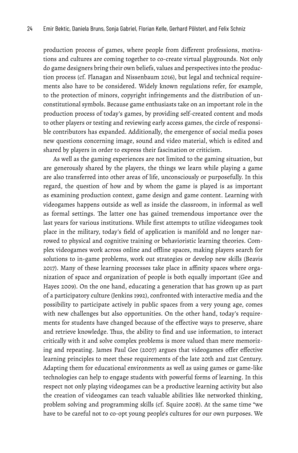production process of games, where people from different professions, motivations and cultures are coming together to co-create virtual playgrounds. Not only do game designers bring their own beliefs, values and perspectives into the production process (cf. Flanagan and Nissenbaum 2016), but legal and technical requirements also have to be considered. Widely known regulations refer, for example, to the protection of minors, copyright infringements and the distribution of unconstitutional symbols. Because game enthusiasts take on an important role in the production process of today's games, by providing self-created content and mods to other players or testing and reviewing early access games, the circle of responsible contributors has expanded. Additionally, the emergence of social media poses new questions concerning image, sound and video material, which is edited and shared by players in order to express their fascination or criticism.

As well as the gaming experiences are not limited to the gaming situation, but are generously shared by the players, the things we learn while playing a game are also transferred into other areas of life, unconsciously or purposefully. In this regard, the question of how and by whom the game is played is as important as examining production context, game design and game content. Learning with videogames happens outside as well as inside the classroom, in informal as well as formal settings. The latter one has gained tremendous importance over the last years for various institutions. While first attempts to utilize videogames took place in the military, today's field of application is manifold and no longer narrowed to physical and cognitive training or behavioristic learning theories. Complex videogames work across online and offline spaces, making players search for solutions to in-game problems, work out strategies or develop new skills (Beavis 2017). Many of these learning processes take place in affinity spaces where organization of space and organization of people is both equally important (Gee and Hayes 2009). On the one hand, educating a generation that has grown up as part of a participatory culture (Jenkins 1992), confronted with interactive media and the possibility to participate actively in public spaces from a very young age, comes with new challenges but also opportunities. On the other hand, today's requirements for students have changed because of the effective ways to preserve, share and retrieve knowledge. Thus, the ability to find and use information, to interact critically with it and solve complex problems is more valued than mere memorizing and repeating. James Paul Gee (2007) argues that videogames offer effective learning principles to meet these requirements of the late 20th and 21st Century. Adapting them for educational environments as well as using games or game-like technologies can help to engage students with powerful forms of learning. In this respect not only playing videogames can be a productive learning activity but also the creation of videogames can teach valuable abilities like networked thinking, problem solving and programming skills (cf. Squire 2008). At the same time "we have to be careful not to co-opt young people's cultures for our own purposes. We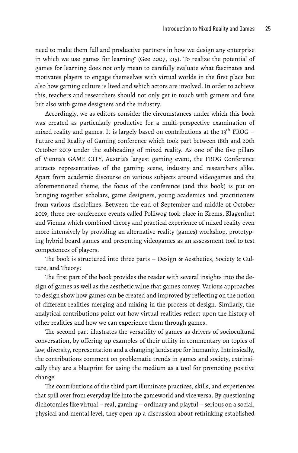need to make them full and productive partners in how we design any enterprise in which we use games for learning" (Gee 2007, 215). To realize the potential of games for learning does not only mean to carefully evaluate what fascinates and motivates players to engage themselves with virtual worlds in the first place but also how gaming culture is lived and which actors are involved. In order to achieve this, teachers and researchers should not only get in touch with gamers and fans but also with game designers and the industry.

Accordingly, we as editors consider the circumstances under which this book was created as particularly productive for a multi-perspective examination of mixed reality and games. It is largely based on contributions at the  $13<sup>th</sup>$  FROG – Future and Reality of Gaming conference which took part between 18th and 20th October 2019 under the subheading of mixed reality. As one of the five pillars of Vienna's GAME CITY, Austria's largest gaming event, the FROG Conference attracts representatives of the gaming scene, industry and researchers alike. Apart from academic discourse on various subjects around videogames and the aforementioned theme, the focus of the conference (and this book) is put on bringing together scholars, game designers, young academics and practitioners from various disciplines. Between the end of September and middle of October 2019, three pre-conference events called Polliwog took place in Krems, Klagenfurt and Vienna which combined theory and practical experience of mixed reality even more intensively by providing an alternative reality (games) workshop, prototyping hybrid board games and presenting videogames as an assessment tool to test competences of players.

The book is structured into three parts – Design & Aesthetics, Society & Culture, and Theory:

The first part of the book provides the reader with several insights into the design of games as well as the aesthetic value that games convey. Various approaches to design show how games can be created and improved by reflecting on the notion of different realities merging and mixing in the process of design. Similarly, the analytical contributions point out how virtual realities reflect upon the history of other realities and how we can experience them through games.

The second part illustrates the versatility of games as drivers of sociocultural conversation, by offering up examples of their utility in commentary on topics of law, diversity, representation and a changing landscape for humanity. Intrinsically, the contributions comment on problematic trends in games and society, extrinsically they are a blueprint for using the medium as a tool for promoting positive change.

The contributions of the third part illuminate practices, skills, and experiences that spill over from everyday life into the gameworld and vice versa. By questioning dichotomies like virtual – real, gaming – ordinary and playful – serious on a social, physical and mental level, they open up a discussion about rethinking established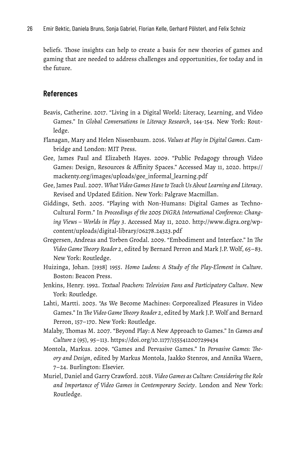beliefs. Those insights can help to create a basis for new theories of games and gaming that are needed to address challenges and opportunities, for today and in the future.

#### **References**

- Beavis, Catherine. 2017. "Living in a Digital World: Literacy, Learning, and Video Games." In *Global Conversations in Literacy Research*, 144-154. New York: Routledge.
- Flanagan, Mary and Helen Nissenbaum. 2016. *Values at Play in Digital Games*. Cambridge and London: MIT Press.
- Gee, James Paul and Elizabeth Hayes. 2009. "Public Pedagogy through Video Games: Design, Resources & Affinity Spaces." Accessed May 11, 2020. [https://](https://mackenty.org/images/uploads/gee_informal_learning.pdf) [mackenty.org/images/uploads/gee\\_informal\\_learning.pdf](https://mackenty.org/images/uploads/gee_informal_learning.pdf)
- Gee, James Paul. 2007. *What Video Games Have to Teach Us About Learning and Literacy*. Revised and Updated Edition. New York: Palgrave Macmillan.
- Giddings, Seth. 2005. "Playing with Non-Humans: Digital Games as Techno-Cultural Form." In *Proceedings of the 2005 DiGRA International Conference: Changing Views – Worlds in Play 3*. Accessed May 11, 2020. [http://www.digra.org/wp](http://www.digra.org/wp-content/uploads/digital-library/06278.24323.pdf)[content/uploads/digital-library/06278.24323.pdf](http://www.digra.org/wp-content/uploads/digital-library/06278.24323.pdf)
- Gregersen, Andreas and Torben Grodal. 2009. "Embodiment and Interface." In *The Video Game Theory Reader 2*, edited by Bernard Perron and Mark J.P. Wolf, 65–83. New York: Routledge.
- Huizinga, Johan. [1938] 1955. *Homo Ludens: A Study of the Play-Element in Culture*. Boston: Beacon Press.
- Jenkins, Henry. 1992. *Textual Poachers: Television Fans and Participatory Culture*. New York: Routledge.
- Lahti, Martti. 2003. "As We Become Machines: Corporealized Pleasures in Video Games." In *The Video Game Theory Reader 2*, edited by Mark J.P. Wolf and Bernard Perron, 157–170. New York: Routledge.
- Malaby, Thomas M. 2007. "Beyond Play: A New Approach to Games." In *Games and Culture 2* (95), 95–113.<https://doi.org/10.1177/1555412007299434>
- Montola, Markus. 2009. "Games and Pervasive Games." In *Pervasive Games: Theory and Design*, edited by Markus Montola, Jaakko Stenros, and Annika Waern, 7–24. Burlington: Elsevier.
- Muriel, Daniel and Garry Crawford. 2018. *Video Games as Culture: Considering the Role and Importance of Video Games in Contemporary Society*. London and New York: Routledge.